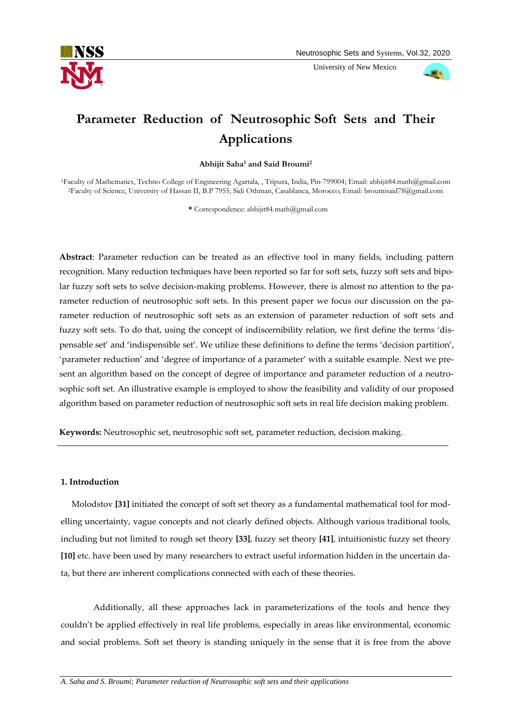

University of New Mexico



# **Parameter Reduction of Neutrosophic Soft Sets and Their Applications**

**Abhijit Saha<sup>1</sup> and Said Broumi<sup>2</sup>**

<sup>1</sup>Faculty of Mathematics, Techno College of Engineering Agartala, , Tripura, India, Pin-799004; Email[: abhijit84.math@gmail.com](mailto:abhijit84.math@gmail.com) <sup>2</sup>Faculty of Science, University of Hassan II, B.P 7955, Sidi Othman, Casablanca, Morocco; Email: broumisaid78@gmail.com

**\*** Correspondence: abhijit84.math@gmail.com

**Abstract**: Parameter reduction can be treated as an effective tool in many fields, including pattern recognition. Many reduction techniques have been reported so far for soft sets, fuzzy soft sets and bipolar fuzzy soft sets to solve decision-making problems. However, there is almost no attention to the parameter reduction of neutrosophic soft sets. In this present paper we focus our discussion on the parameter reduction of neutrosophic soft sets as an extension of parameter reduction of soft sets and fuzzy soft sets. To do that, using the concept of indiscernibility relation, we first define the terms 'dispensable set' and 'indispensible set'. We utilize these definitions to define the terms 'decision partition', 'parameter reduction' and 'degree of importance of a parameter' with a suitable example. Next we present an algorithm based on the concept of degree of importance and parameter reduction of a neutrosophic soft set. An illustrative example is employed to show the feasibility and validity of our proposed algorithm based on parameter reduction of neutrosophic soft sets in real life decision making problem.

**Keywords:** Neutrosophic set, neutrosophic soft set, parameter reduction, decision making.

# **1. Introduction**

 Molodstov **[31]** initiated the concept of soft set theory as a fundamental mathematical tool for modelling uncertainty, vague concepts and not clearly defined objects. Although various traditional tools, including but not limited to rough set theory **[33]**, fuzzy set theory **[41]**, intuitionistic fuzzy set theory **[10]** etc. have been used by many researchers to extract useful information hidden in the uncertain data, but there are inherent complications connected with each of these theories.

Additionally, all these approaches lack in parameterizations of the tools and hence they couldn't be applied effectively in real life problems, especially in areas like environmental, economic and social problems. Soft set theory is standing uniquely in the sense that it is free from the above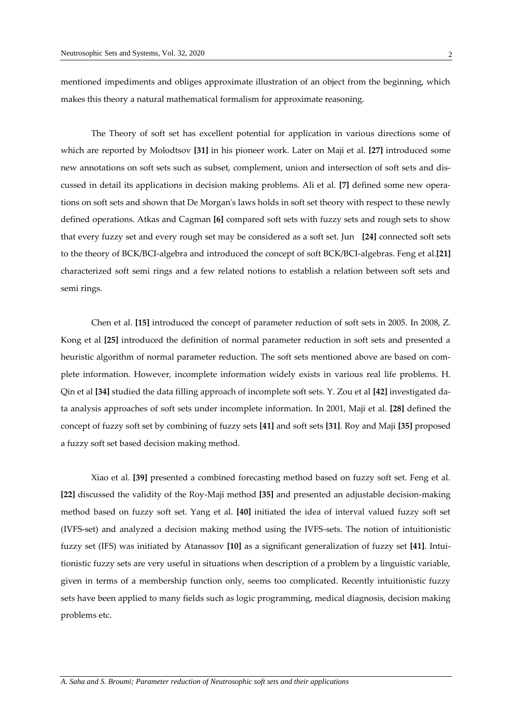mentioned impediments and obliges approximate illustration of an object from the beginning, which makes this theory a natural mathematical formalism for approximate reasoning.

The Theory of soft set has excellent potential for application in various directions some of which are reported by Molodtsov **[31]** in his pioneer work. Later on Maji et al. **[27]** introduced some new annotations on soft sets such as subset, complement, union and intersection of soft sets and discussed in detail its applications in decision making problems. Ali et al. **[7]** defined some new operations on soft sets and shown that De Morgan's laws holds in soft set theory with respect to these newly defined operations. Atkas and Cagman **[6]** compared soft sets with fuzzy sets and rough sets to show that every fuzzy set and every rough set may be considered as a soft set. Jun **[24]** connected soft sets to the theory of BCK/BCI-algebra and introduced the concept of soft BCK/BCI-algebras. Feng et al.**[21]** characterized soft semi rings and a few related notions to establish a relation between soft sets and semi rings.

Chen et al. **[15]** introduced the concept of parameter reduction of soft sets in 2005. In 2008, Z. Kong et al **[25]** introduced the definition of normal parameter reduction in soft sets and presented a heuristic algorithm of normal parameter reduction. The soft sets mentioned above are based on complete information. However, incomplete information widely exists in various real life problems. H. Qin et al **[34]** studied the data filling approach of incomplete soft sets. Y. Zou et al **[42]** investigated data analysis approaches of soft sets under incomplete information. In 2001, Maji et al. **[28]** defined the concept of fuzzy soft set by combining of fuzzy sets **[41]** and soft sets **[31]**. Roy and Maji **[35]** proposed a fuzzy soft set based decision making method.

Xiao et al. **[39]** presented a combined forecasting method based on fuzzy soft set. Feng et al. **[22]** discussed the validity of the Roy-Maji method **[35]** and presented an adjustable decision-making method based on fuzzy soft set. Yang et al. **[40]** initiated the idea of interval valued fuzzy soft set (IVFS-set) and analyzed a decision making method using the IVFS-sets. The notion of intuitionistic fuzzy set (IFS) was initiated by Atanassov **[10]** as a significant generalization of fuzzy set **[41]**. Intuitionistic fuzzy sets are very useful in situations when description of a problem by a linguistic variable, given in terms of a membership function only, seems too complicated. Recently intuitionistic fuzzy sets have been applied to many fields such as logic programming, medical diagnosis, decision making problems etc.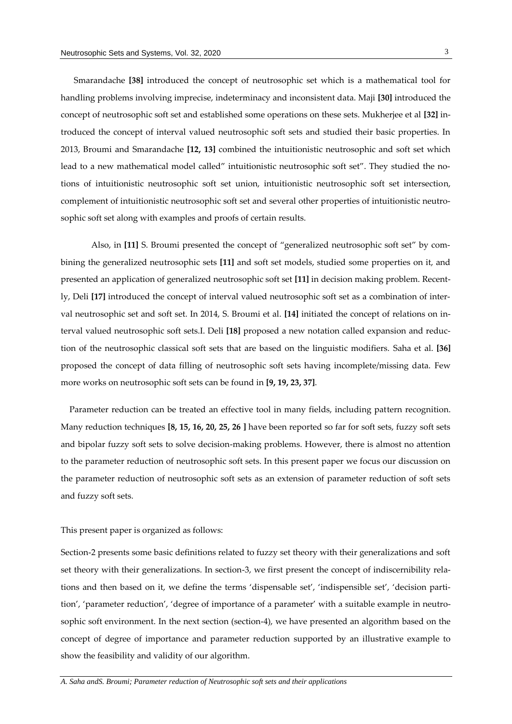Smarandache **[38]** introduced the concept of neutrosophic set which is a mathematical tool for handling problems involving imprecise, indeterminacy and inconsistent data. Maji **[30]** introduced the concept of neutrosophic soft set and established some operations on these sets. Mukherjee et al **[32]** introduced the concept of interval valued neutrosophic soft sets and studied their basic properties. In 2013, Broumi and Smarandache **[12, 13]** combined the intuitionistic neutrosophic and soft set which lead to a new mathematical model called" intuitionistic neutrosophic soft set". They studied the notions of intuitionistic neutrosophic soft set union, intuitionistic neutrosophic soft set intersection, complement of intuitionistic neutrosophic soft set and several other properties of intuitionistic neutrosophic soft set along with examples and proofs of certain results.

Also, in **[11]** S. Broumi presented the concept of "generalized neutrosophic soft set" by combining the generalized neutrosophic sets **[11]** and soft set models, studied some properties on it, and presented an application of generalized neutrosophic soft set **[11]** in decision making problem. Recently, Deli **[17]** introduced the concept of interval valued neutrosophic soft set as a combination of interval neutrosophic set and soft set. In 2014, S. Broumi et al. **[14]** initiated the concept of relations on interval valued neutrosophic soft sets.I. Deli **[18]** proposed a new notation called expansion and reduction of the neutrosophic classical soft sets that are based on the linguistic modifiers. Saha et al. **[36]** proposed the concept of data filling of neutrosophic soft sets having incomplete/missing data. Few more works on neutrosophic soft sets can be found in **[9, 19, 23, 37]**.

 Parameter reduction can be treated an effective tool in many fields, including pattern recognition. Many reduction techniques **[8, 15, 16, 20, 25, 26 ]** have been reported so far for soft sets, fuzzy soft sets and bipolar fuzzy soft sets to solve decision-making problems. However, there is almost no attention to the parameter reduction of neutrosophic soft sets. In this present paper we focus our discussion on the parameter reduction of neutrosophic soft sets as an extension of parameter reduction of soft sets and fuzzy soft sets.

## This present paper is organized as follows:

Section-2 presents some basic definitions related to fuzzy set theory with their generalizations and soft set theory with their generalizations. In section-3, we first present the concept of indiscernibility relations and then based on it, we define the terms 'dispensable set', 'indispensible set', 'decision partition', 'parameter reduction', 'degree of importance of a parameter' with a suitable example in neutrosophic soft environment. In the next section (section-4), we have presented an algorithm based on the concept of degree of importance and parameter reduction supported by an illustrative example to show the feasibility and validity of our algorithm.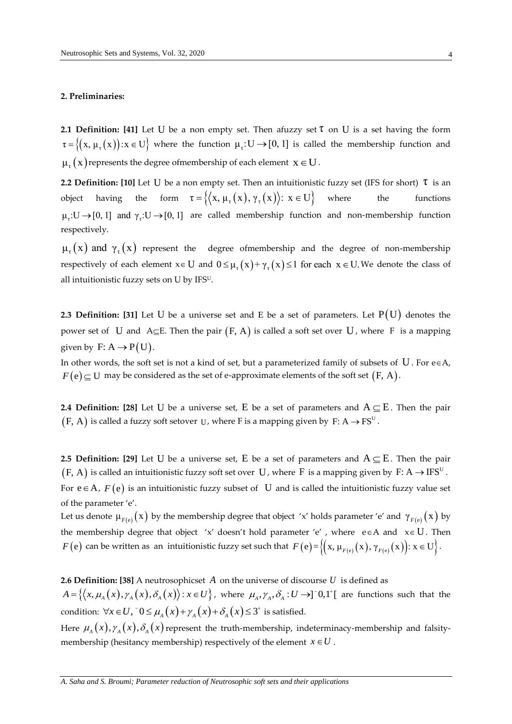#### **2. Preliminaries:**

**2.1 Definition: [41]** Let U be a non empty set. Then afuzzy set  $\tau$  on U is a set having the form  $\tau = \{(x, \mu_\tau(x)) : x \in U\}$  where the function  $\mu_\tau: U \to [0, 1]$  is called the membership function and  $\mu_{\tau}(x)$  represents the degree of membership of each element  $x \in U$ .

**2.2 Definition: [10]** Let U be a non empty set. Then an intuitionistic fuzzy set (IFS for short)  $\tau$  is an object having the form  $\tau = \{ \langle x, \mu_{\tau}(x), \gamma_{\tau}(x) \rangle : x \in U \}$ where the functions  $\mu_{\tau}: U \to [0, 1]$  and  $\gamma_{\tau}: U \to [0, 1]$  are called membership function and non-membership function respectively.

 $\mu_{\tau}(x)$  and  $\gamma_{\tau}(x)$  represent the degree ofmembership and the degree of non-membership respectively of each element  $x \in U$  and  $0 \leq \mu_{\tau}(x) + \gamma_{\tau}(x) \leq 1$  for each  $x \in U$ . We denote the class of all intuitionistic fuzzy sets on U by IFSU.

**2.3 Definition: [31]** Let U be a universe set and E be a set of parameters. Let  $P(U)$  denotes the power set of U and A $\subseteq$ E. Then the pair  $(F, A)$  is called a soft set over U, where F is a mapping given by  $F: A \rightarrow P(U)$ .

In other words, the soft set is not a kind of set, but a parameterized family of subsets of  $U$ . For e $\in$ A,  $F\big(\mathbf{e}\big) \!\subseteq\! \mathrm{U}\,$  may be considered as the set of e-approximate elements of the soft set  $\big(\mathrm{F}, \mathrm{A}\big).$ 

**2.4 Definition: [28]** Let U be a universe set, E be a set of parameters and  $A \subseteq E$ . Then the pair  $(\mathrm{F}, \, \mathrm{A})$  is called a fuzzy soft setover  $\mathrm{U}$ , where F is a mapping given by  $\mathrm{F: A} \rightarrow \mathrm{FS}^{\mathrm{U}}$  .

**2.5 Definition: [29]** Let U be a universe set, E be a set of parameters and  $A \subseteq E$ . Then the pair  $(\mathrm{F}, \mathrm{A})$  is called an intuitionistic fuzzy soft set over  $\mathrm{~U}$  , where  $\mathrm{F}$  is a mapping given by  $\mathrm{F: A} \to \mathrm{IFS}^\mathrm{U}}$  .

For  $e \in A$ ,  $F(e)$  is an intuitionistic fuzzy subset of U and is called the intuitionistic fuzzy value set of the parameter 'e'.

Let us denote  $\mu_{F(e)}(x)$  by the membership degree that object 'x' holds parameter 'e' and  $\gamma_{F(e)}(x)$  by the membership degree that object 'x' doesn't hold parameter 'e', where  $e \in A$  and  $x \in U$ . Then  $F(e)$  can be written as an intuitionistic fuzzy set such that  $F(e) = \{(x, \mu_{F(e)}(x), \gamma_{F(e)}(x)) : x \in U\}$ .

**2.6 Definition: [38]** A neutrosophicset *A* on the universe of discourse *U* is defined as

**2.6 Definition: [38]** A neutrosophicset A on the universe of discourse U is defined as  $A = \{ (x, \mu_A(x), \gamma_A(x), \delta_A(x)) : x \in U \}$ , where  $\mu_A, \gamma_A, \delta_A : U \rightarrow ]0,1^{\dagger}$  are functions such that the condition:  $\forall x \in U$ ,  $\bar{0} \leq \mu_A(x) + \gamma_A(x) + \delta_A(x) \leq 3^+$  is satisfied.

Here  $\mu_{_A}\big(x\big),\gamma_{_A}\big(x\big),\delta_{_A}\big(x\big)$ represent the truth-membership, indeterminacy-membership and falsitymembership (hesitancy membership) respectively of the element  $x \in U$ .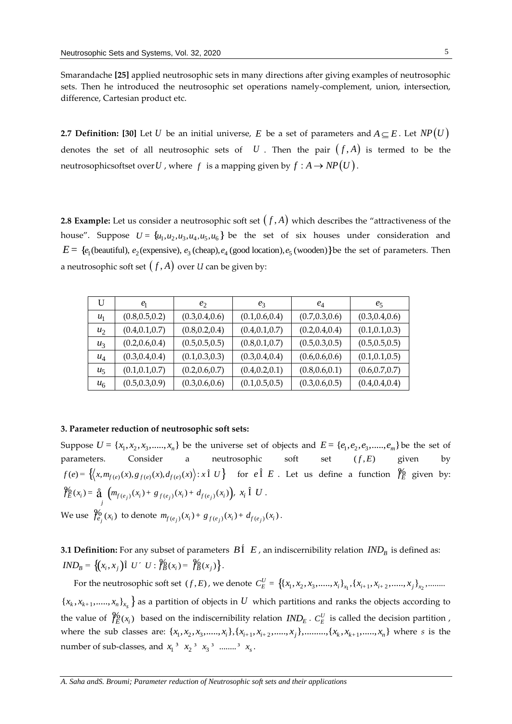Smarandache **[25]** applied neutrosophic sets in many directions after giving examples of neutrosophic sets. Then he introduced the neutrosophic set operations namely-complement, union, intersection, difference, Cartesian product etc.

**2.7 Definition: [30]** Let  $U$  be an initial universe,  $E$  be a set of parameters and  $A \subseteq E$ . Let  $NP\big(U\big)$ denotes the set of all neutrosophic sets of  $U$ . Then the pair  $(f,A)$  is termed to be the neutrosophicsoftset over  $U$  , where  $\,f\,$  is a mapping given by  $f:A\,{\rightarrow}\,NP\big(U\big)$  .

**2.8 Example:** Let us consider a neutrosophic soft set  $\big(f,A\big)$  which describes the "attractiveness of the house". Suppose  $U = \{u_1, u_2, u_3, u_4, u_5, u_6\}$  be the set of six houses under consideration and **EXAMPLE:** Let us consider a neutrosophic soft set  $(f, A)$  which desired notice". Suppose  $U = \{u_1, u_2, u_3, u_4, u_5, u_6\}$  be the set of six house  $E = \{e_1(\text{beautiful}), e_2(\text{expensive}), e_3(\text{cheap}), e_4(\text{good location}), e_5(\text{wooden})\}$  $E = \{e_1$ (beautiful),  $e_2$ (expensive),  $e_3$ (cheap),  $e_4$ (good location),  $e_5$ (wooden) } be the set of parameters. Then a neutrosophic soft set  $\big(f,A\big)$  over  $U$  can be given by:

| U     | e <sub>1</sub>  | e <sub>2</sub>  | $e_3$           | $e_4$           | $e_5$           |
|-------|-----------------|-----------------|-----------------|-----------------|-----------------|
| $u_1$ | (0.8, 0.5, 0.2) | (0.3, 0.4, 0.6) | (0.1, 0.6, 0.4) | (0.7, 0.3, 0.6) | (0.3, 0.4, 0.6) |
| $u_2$ | (0.4, 0.1, 0.7) | (0.8, 0.2, 0.4) | (0.4, 0.1, 0.7) | (0.2, 0.4, 0.4) | (0.1, 0.1, 0.3) |
| $u_3$ | (0.2, 0.6, 0.4) | (0.5, 0.5, 0.5) | (0.8, 0.1, 0.7) | (0.5, 0.3, 0.5) | (0.5, 0.5, 0.5) |
| $u_4$ | (0.3, 0.4, 0.4) | (0.1, 0.3, 0.3) | (0.3, 0.4, 0.4) | (0.6, 0.6, 0.6) | (0.1, 0.1, 0.5) |
| $u_5$ | (0.1, 0.1, 0.7) | (0.2, 0.6, 0.7) | (0.4, 0.2, 0.1) | (0.8, 0.6, 0.1) | (0.6, 0.7, 0.7) |
| $u_6$ | (0.5, 0.3, 0.9) | (0.3, 0.6, 0.6) | (0.1, 0.5, 0.5) | (0.3, 0.6, 0.5) | (0.4, 0.4, 0.4) |

# **3. Parameter reduction of neutrosophic soft sets:**

Suppose  $U = \{x_1, x_2, x_3, \dots, x_n\}$  be the universe set of objects and  $E = \{e_1, e_2, e_3, \dots, e_m\}$  be the set of parameters. Consider a neutrosophic soft set  $(f, E)$ given by  $f(e) = \left\{ (x, m_{f(e)}(x), g_{f(e)}(x), d_{f(e)}(x)) : x \in U \right\}$  for  $e \in E$ . Let us define a function  $\mathcal{V}_E^0$  given by:  $\mathcal{H}_E(x_i) = \frac{a}{\mathbf{a}} \left( m_{f(e_j)}(x_i) + g_{f(e_j)}(x_i) + d_{f(e_j)}(x_i) \right), x_i \in \mathbf{C}$ . We use  $\oint_{e_j}^0 (x_i)$  to denote  $m_{f(e_j)}(x_i) + g_{f(e_j)}(x_i) + d_{f(e_j)}(x_i)$ .

**3.1 Definition:** For any subset of parameters  $B\acute{1}$   $E$  , an indiscernibility relation  $\mathit{IND}_B$  is defined as:  $IND_B = \{(x_i, x_j) \in U' \cup \mathcal{Y}_B^6(x_i) = \mathcal{Y}_B^6(x_j)\}.$ 

For the neutrosophic soft set  $(f, E)$ , we denote  $C_E^U = \{(x_1, x_2, x_3, \ldots, x_i\}_{x_1}, \{x_{i+1}, x_{i+2}, \ldots, x_j\}_{x_2}, \ldots, x_{i+1}\}_{x_i}$  ${x_k, x_{k+1}, \ldots, x_n}_{x_s}$  as a partition of objects in U which partitions and ranks the objects according to the value of  $\hat{J}_E^0(x_i)$  based on the indiscernibility relation  $IND_E$ .  $C_E^U$  is called the decision partition, where the sub classes are:  $\{x_1, x_2, x_3, \ldots, x_i\}$ ,  $\{x_{i+1}, x_{i+2}, \ldots, x_j\}$ , ........,  $\{x_k, x_{k+1}, \ldots, x_n\}$  where s is the number of sub-classes, and  $x_1^3$   $x_2^3$   $x_3^3$  ........<sup>3</sup>  $x_s$ .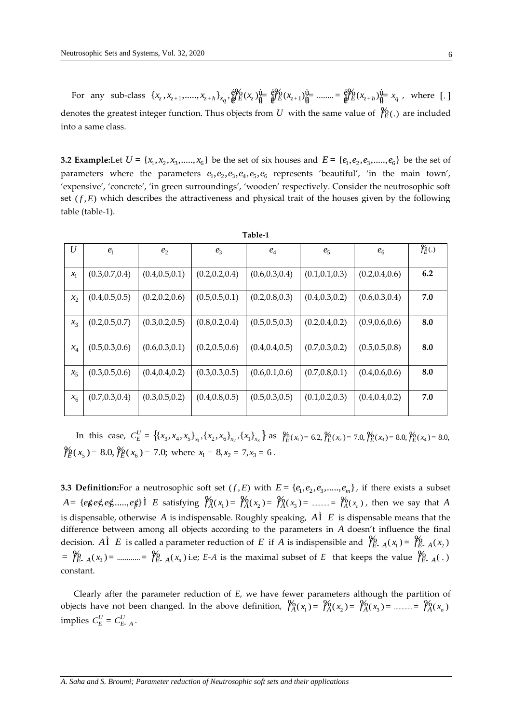For any sub-class  $\{x_{z}, x_{z+1}, \dots, x_{z+h}\}_{x_{q}}$ ,  $\frac{\partial V_0}{\partial E}(x_z)\frac{\partial L}{\partial E} = \frac{\partial V_0}{\partial E}(x_{z+1})\frac{\partial L}{\partial E} = \dots = \frac{\partial V_0}{\partial E}(x_{z+h})\frac{\partial L}{\partial E} = x_{q}$ , where [.] denotes the greatest integer function. Thus objects from U with the same value of  $\frac{\%}{\mathrm{F}}$  (.) are included into a same class.

**3.2 Example:**Let  $U = \{x_1, x_2, x_3, \dots, x_6\}$  be the set of six houses and  $E = \{e_1, e_2, e_3, \dots, e_6\}$  be the set of parameters where the parameters  $e_1, e_2, e_3, e_4, e_5, e_6$  represents 'beautiful', 'in the main town', 'expensive', 'concrete', 'in green surroundings', 'wooden' respectively. Consider the neutrosophic soft set  $(f, E)$  which describes the attractiveness and physical trait of the houses given by the following table (table-1).

| U       | $e_1$           | e <sub>2</sub>  | $e_3$           | $e_4$           | e <sub>5</sub>  | $e_6$           | $\mathcal{Y}_{E}(\cdot)$ |
|---------|-----------------|-----------------|-----------------|-----------------|-----------------|-----------------|--------------------------|
| $x_{1}$ | (0.3, 0.7, 0.4) | (0.4, 0.5, 0.1) | (0.2, 0.2, 0.4) | (0.6, 0.3, 0.4) | (0.1, 0.1, 0.3) | (0.2, 0.4, 0.6) | 6.2                      |
| $x_2$   | (0.4, 0.5, 0.5) | (0.2, 0.2, 0.6) | (0.5, 0.5, 0.1) | (0.2, 0.8, 0.3) | (0.4, 0.3, 0.2) | (0.6, 0.3, 0.4) | 7.0                      |
| $x_3$   | (0.2, 0.5, 0.7) | (0.3, 0.2, 0.5) | (0.8, 0.2, 0.4) | (0.5, 0.5, 0.3) | (0.2, 0.4, 0.2) | (0.9, 0.6, 0.6) | 8.0                      |
| $x_4$   | (0.5, 0.3, 0.6) | (0.6, 0.3, 0.1) | (0.2, 0.5, 0.6) | (0.4, 0.4, 0.5) | (0.7, 0.3, 0.2) | (0.5, 0.5, 0.8) | 8.0                      |
| $x_{5}$ | (0.3, 0.5, 0.6) | (0.4, 0.4, 0.2) | (0.3, 0.3, 0.5) | (0.6, 0.1, 0.6) | (0.7, 0.8, 0.1) | (0.4, 0.6, 0.6) | 8.0                      |
| $x_6$   | (0.7, 0.3, 0.4) | (0.3, 0.5, 0.2) | (0.4, 0.8, 0.5) | (0.5, 0.3, 0.5) | (0.1, 0.2, 0.3) | (0.4, 0.4, 0.2) | 7.0                      |

| г | n |  |
|---|---|--|
|---|---|--|

In this case,  $C_E^U = \{(x_3, x_4, x_5\}_{x_1}, \{(x_2, x_6\}_{x_2}, \{(x_1\}_{x_3})\)$  as  $\mathcal{Y}_E^0(x_1) = 6.2$ ,  $\mathcal{Y}_E^0(x_2) = 7.0$ ,  $\mathcal{Y}_E^0(x_3) = 8.0$ ,  $\mathcal{Y}_E^0(x_4) = 8.0$ ,  $\frac{\%}{\%}(x_5) = 8.0, \frac{\%}{\%}(x_6) = 7.0$ ; where  $x_1 = 8, x_2 = 7, x_3 = 6$ .

**3.3 Definition:**For a neutrosophic soft set  $(f, E)$  with  $E = \{e_1, e_2, e_3, \dots, e_m\}$ , if there exists a subset  $A = \{e \notin e \notin, e \notin, \dots, e \notin \}$   $\hat{I}$  E satisfying  $\mathcal{Y}_{A}^{0}(x_1) = \mathcal{Y}_{A}^{0}(x_2) = \mathcal{Y}_{A}^{0}(x_3) = \dots = \mathcal{Y}_{A}^{0}(x_n)$ , then we say that A is dispensable, otherwise A is indispensable. Roughly speaking,  $\vec{A}$   $\vec{L}$  is dispensable means that the difference between among all objects according to the parameters in A doesn't influence the final decision. Al E is called a parameter reduction of E if A is indispensible and  $\int_{E-A}^6(x_1) = \int_{E-A}^6(x_2)$  $=\oint_{E^-}^{6} A(x_3)$  = ............ =  $\oint_{E^-}^{6} A(x_n)$  i.e; E-A is the maximal subset of E that keeps the value  $\oint_{E^-}^{6} A(x_3)$ constant.

Clearly after the parameter reduction of E, we have fewer parameters although the partition of objects have not been changed. In the above definition,  $\mathcal{Y}_{A}^{0}(x_1) = \mathcal{Y}_{A}^{0}(x_2) = \mathcal{Y}_{A}^{0}(x_3) =$  .............  $\mathcal{Y}_{A}^{0}(x_n)$ implies  $C_E^U = C_{E-A}^U$ .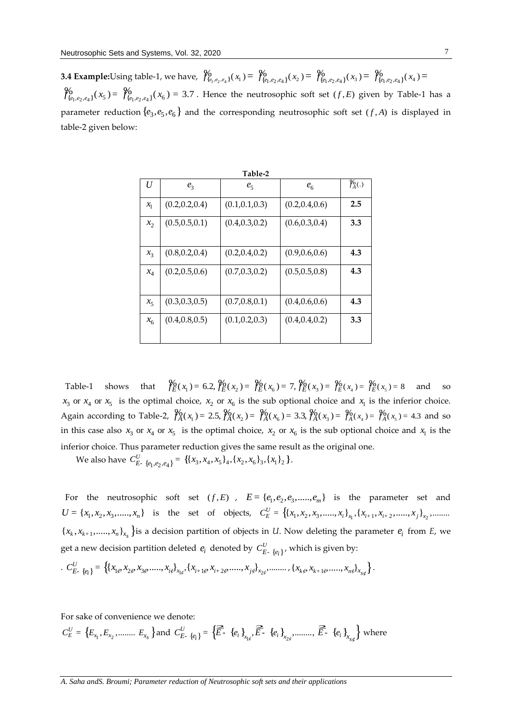**3.4 Example:**Using table-1, we have,  $\int_{\{e_1,e_2,e_4\}}^{\phi}(x_1) = \int_{\{e_1,e_2,e_4\}}^{\phi}(x_2) = \int_{\{e_1,e_2,e_4\}}^{\phi}(x_3) = \int_{\{e_1,e_2,e_4\}}^{\phi}(x_4) =$  $\begin{aligned} \mathcal{H}_{\{e_1,e_2,e_4\}}(x_5) &= \mathcal{H}_{\{e_1,e_2,e_4\}}(x_6) = 3.7 \text{ . Hence the neutrosophic soft set } (f, E) \text{ given by Table-1 has a } \end{aligned}$ parameter reduction  $\{e_3, e_5, e_6\}$  and the corresponding neutrosophic soft set  $(f, A)$  is displayed in table-2 given below:

| Table-2 |                 |                 |                 |                          |  |  |
|---------|-----------------|-----------------|-----------------|--------------------------|--|--|
| U       | $e_3$           | $e_5$           | e <sub>6</sub>  | $\mathcal{Y}_{A}^{6}(.)$ |  |  |
| $x_{1}$ | (0.2, 0.2, 0.4) | (0.1, 0.1, 0.3) | (0.2, 0.4, 0.6) | 2.5                      |  |  |
| $x_2$   | (0.5, 0.5, 0.1) | (0.4, 0.3, 0.2) | (0.6, 0.3, 0.4) | 3.3                      |  |  |
| $x_3$   | (0.8, 0.2, 0.4) | (0.2, 0.4, 0.2) | (0.9, 0.6, 0.6) | 4.3                      |  |  |
| $x_4$   | (0.2, 0.5, 0.6) | (0.7, 0.3, 0.2) | (0.5, 0.5, 0.8) | 4.3                      |  |  |
| $x_5$   | (0.3, 0.3, 0.5) | (0.7, 0.8, 0.1) | (0.4, 0.6, 0.6) | 4.3                      |  |  |
| $x_{6}$ | (0.4, 0.8, 0.5) | (0.1, 0.2, 0.3) | (0.4, 0.4, 0.2) | 3.3                      |  |  |

Table-1 shows that  $\oint_E (x_1) = 6.2$ ,  $\oint_E (x_2) = \oint_E (x_6) = 7$ ,  $\oint_E (x_3) = \oint_E (x_4) = \oint_E (x_5) = 8$  and so  $x_3$  or  $x_4$  or  $x_5$  is the optimal choice,  $x_2$  or  $x_6$  is the sub optional choice and  $x_1$  is the inferior choice. Again according to Table-2,  $\frac{\%}{A}(x_1) = 2.5$ ,  $\frac{\%}{A}(x_2) = \frac{\%}{A}(x_6) = 3.3$ ,  $\frac{\%}{A}(x_3) = \frac{\%}{A}(x_4) = \frac{\%}{A}(x_5) = 4.3$  and so in this case also  $x_3$  or  $x_4$  or  $x_5$  is the optimal choice,  $x_2$  or  $x_6$  is the sub optional choice and  $x_1$  is the inferior choice. Thus parameter reduction gives the same result as the original one.

We also have  $C_{E_{2}}^{U}\left\{e_{1}, e_{2}, e_{4}\right\} = \left\{\{x_{3}, x_{4}, x_{5}\}_{4}, \{x_{2}, x_{6}\}_{3}, \{x_{1}\}_{2}\right\}.$ 

For the neutrosophic soft set  $(f, E)$ ,  $E = \{e_1, e_2, e_3, \dots, e_m\}$  is the parameter set and  $U = \{x_1, x_2, x_3, \dots, x_n\}$  is the set of objects,  $C_E^U = \{(x_1, x_2, x_3, \dots, x_i)\}_{x_1}, \{x_{i+1}, x_{i+2}, \dots, x_j\}_{x_2}, \dots$  ${x_k, x_{k+1}, \ldots, x_n}_{x_s}$  is a decision partition of objects in *U*. Now deleting the parameter  $e_i$  from *E*, we get a new decision partition deleted  $e_i$  denoted by  $C^U_{E_{-}}{}_{\{e_i\}}$ , which is given by:

$$
C_{E_{-}}^{U}\left\{x_{1\xi}, x_{2\xi}, x_{3\xi}, \ldots, x_{i\xi}\right\}_{x_{1\xi}}, \{x_{i+1\xi}, x_{i+2\xi}, \ldots, x_{j\xi}\}_{x_{2\xi}}, \ldots, \{x_{k\xi}, x_{k+1\xi}, \ldots, x_{n\xi}\}_{x_{S\xi}}\}.
$$

For sake of convenience we denote:

 $C_E^U = \left\{E_{x_1}, E_{x_2}, \dots \dots \dots \ E_{x_s}\right\}$  and  $C_{E}^U$   $_{\{e_i\}} = \left\{\widehat{\vec{E}} \cdot \{e_i\}_{x_1,e}, \widehat{\vec{E}} \cdot \{e_i\}_{x_{2e}}, \dots \dots \dots \right\} \widehat{\vec{E}} \cdot \{e_i\}_{x_{s\phi}}\right\}$  where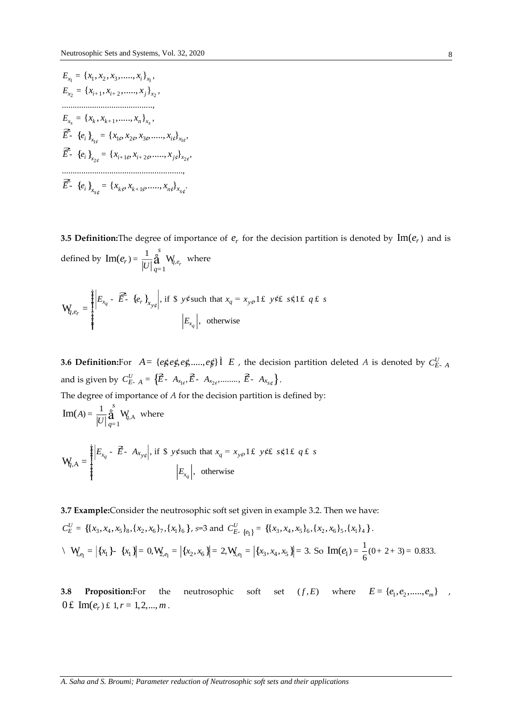$$
E_{x_1} = \{x_1, x_2, x_3, \dots, x_i\}_{x_1},
$$
  
\n
$$
E_{x_2} = \{x_{i+1}, x_{i+2}, \dots, x_j\}_{x_2},
$$
  
\n
$$
\dots
$$
  
\n
$$
E_{x_s} = \{x_k, x_{k+1}, \dots, x_n\}_{x_s},
$$
  
\n
$$
\widehat{E} = \{e_i\}_{x_{1\phi}} = \{x_{1\phi}, x_{2\phi}, x_{3\phi}, \dots, x_{i\phi}\}_{x_{1\phi}},
$$
  
\n
$$
\widehat{E} = \{e_i\}_{x_{2\phi}} = \{x_{i+1\phi}, x_{i+2\phi}, \dots, x_{j\phi}\}_{x_{2\phi}},
$$
  
\n
$$
\dots
$$
  
\n
$$
\widehat{E} = \{e_i\}_{x_{s\phi}} = \{x_{k\phi}, x_{k+1\phi}, \dots, x_{n\phi}\}_{x_{s\phi}}.
$$

**3.5 Definition:** The degree of importance of  $e_r$  for the decision partition is denoted by  $\text{Im}(e_r)$  and is defined by  $\text{Im}(e_r) = \frac{1}{|U|} \mathop{\stackrel{\circ}{\text{a}}}_{q=1}^s W_{q,e_r}$  where

$$
\mathbf{W}_{q,e_r} = \begin{cases} \left| E_{x_q} - \widehat{E} - \{e_r\}_{x_{y\phi}} \right|, & \text{if } \S \text{ y}\notin \text{such that } x_q = x_{y\phi}, \text{if } y \notin E \text{ s}\notin \text{if } q \notin S \\ \left| E_{x_q} \right|, & \text{otherwise} \end{cases}
$$

**3.6 Definition:**For  $A = \{e \notin e \notin e \notin ... \iff e \notin \}$   $\hat{I}$   $E$ , the decision partition deleted A is denoted by  $C_{E-A}^U$ and is given by  $C_{E-A}^U = \{ \vec{E} - A_{x_{1i}}, \vec{E} - A_{x_{2i}}, \dots, \vec{E} - A_{x_{s_i}} \}.$ The degree of importance of  $A$  for the decision partition is defined by:  $1<sup>s</sup>$ 

Im(A) = 
$$
\frac{1}{|U|} \mathbf{\hat{a}}_{q=1} \mathbf{W}_{q,\mathbf{A}}
$$
 where

$$
\mathbf{W}_{q,\mathbf{A}} = \begin{cases} \mathbf{F}_{x_q} - \mathbf{E} - A_{x_{y\phi}} \, \text{if } \mathbf{S} \text{ y} \notin \text{such that } x_q = x_{y\phi} \, \text{if } x_{y\phi} \text{ if } q \in \mathbf{S} \text{ is } \mathbf{S} \text{ if } q \in \mathbf{S} \text{ is } \mathbf{S} \text{ if } q \in \mathbf{S} \text{ if } q \in \mathbf{S} \text{ if } q \in \mathbf{S} \text{ if } q \in \mathbf{S} \text{ if } q \in \mathbf{S} \text{ if } q \in \mathbf{S} \text{ if } q \in \mathbf{S} \text{ if } q \in \mathbf{S} \text{ if } q \in \mathbf{S} \text{ if } q \in \mathbf{S} \text{ if } q \in \mathbf{S} \text{ if } q \in \mathbf{S} \text{ if } q \in \mathbf{S} \text{ if } q \in \mathbf{S} \text{ if } q \in \mathbf{S} \text{ if } q \in \mathbf{S} \text{ if } q \in \mathbf{S} \text{ if } q \in \mathbf{S} \text{ if } q \in \mathbf{S} \text{ if } q \in \mathbf{S} \text{ if } q \in \mathbf{S} \text{ if } q \in \mathbf{S} \text{ if } q \in \mathbf{S} \text{ if } q \in \mathbf{S} \text{ if } q \in \mathbf{S} \text{ if } q \in \mathbf{S} \text{ if } q \in \mathbf{S} \text{ if } q \in \mathbf{S} \text{ if } q \in \mathbf{S} \text{ if } q \in \mathbf{S} \text{ if } q \in \mathbf{S} \text{ if } q \in \mathbf{S} \text{ if } q \in \mathbf{S} \text{ if } q \in \mathbf{S} \text{ if } q \in \mathbf{S} \text{ if } q \in \mathbf{S} \text{ if } q \in \mathbf{S} \text{ if } q \in \mathbf{S} \text{ if } q \in \mathbf{S} \text{ if } q \in \mathbf{S} \text{ if } q \in \mathbf{S} \text{ if } q \in \mathbf{S} \text{ if } q \in \mathbf{S} \text{ if } q \in \mathbf{S} \text
$$

3.7 Example:Consider the neutrosophic soft set given in example 3.2. Then we have:

$$
C_E^U = \{ \{x_3, x_4, x_5\}_8, \{x_2, x_6\}_7, \{x_1\}_6 \}, \quad s=3 \text{ and } C_{E}^U \text{ and } C_{E}^U \text{ and } \{x_3, x_4, x_5\}_6, \{x_2, x_6\}_5, \{x_1\}_4 \}.
$$
\n
$$
\setminus \mathbf{W}_{e_1} = \left| \{x_1\} - \{x_1\} \right| = 0, \mathbf{W}_{e_1} = \left| \{x_2, x_6\} \right| = 2, \mathbf{W}_{e_1} = \left| \{x_3, x_4, x_5\} \right| = 3. \text{ So } \text{Im}(e_1) = \frac{1}{6}(0+2+3) = 0.833
$$

 $(f, E)$  where  $E = \{e_1, e_2, \dots, e_m\}$ , 3.8 Proposition:For the neutrosophic soft set 0£ Im( $e_r$ ) £ 1,  $r = 1, 2, ..., m$ .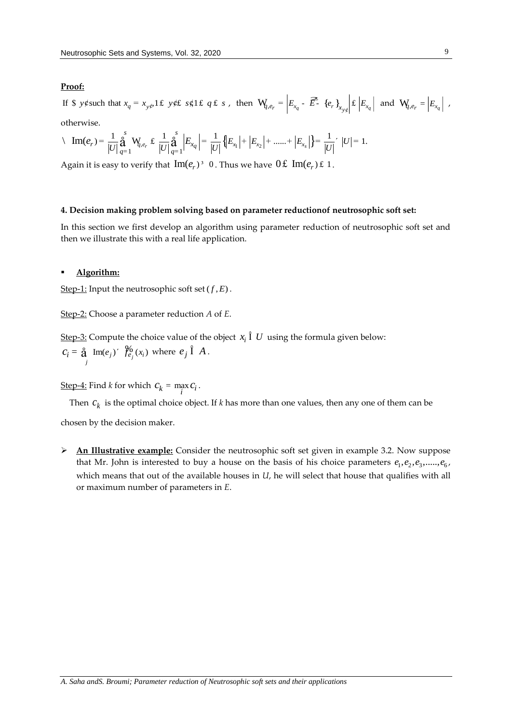# **Proof:**

If \$ y¢such that  $x_q = x_{y\phi}1$  £ y¢£ s¢1 £ q £ s, then  $W_{q,e_r} = \left| E_{x_q} - \overline{E} - \{e_r\}_{x_{y\phi}} \right|$   $\neq \left| E_{x_q} \right|$  and  $W_{q,e_r} = \left| E_{x_q} \right|$ ,<br>otherwise.<br> $\langle Im(e_r) = \frac{1}{|U|} \oint_{\alpha=1}^{S} W_{q,e_r} \not\in \frac{1}{|U|} \oint_{\alpha=1}^{S} \left| E_{x_q} \right| = \frac$ If \$ y¢ such that  $x_q = x_{y\phi}1 \pounds y \phi \pounds s \phi 1 \pounds q \pounds s$ , then  $\mathbf{W}_{q,e_r} = \left| E_{x_q} - \overline{\mathbf{E}} \cdot \{e_r\}_{x_{y\phi}} \right| \pounds \left| E_{x_q} \right|$  and<br>otherwise.<br> $\langle \mathbf{Im}(e_r) = \frac{1}{|U|} \sum_{q=1}^{s} \mathbf{W}_{q,e_r} \pounds \frac{1}{|U|} \sum_{q=1}^{s} \left| E_{x_q} \right| = \frac{1}{|U|$ 

otherwise.

otherwise.  
\n
$$
\langle \text{ Im}(e_r) = \frac{1}{|U|} \mathbf{a} \mathbf{a}^s \mathbf{W}_{q,e_r} \pounds \frac{1}{|U|} \mathbf{a} \mathbf{a}^s \frac{1}{|U|} E_{x_q} = \frac{1}{|U|} \{ |E_{x_1}| + |E_{x_2}| + \dots + |E_{x_s}| \} = \frac{1}{|U|} \cdot |U| = 1.
$$

Again it is easy to verify that  $\text{Im}(e_r)^3$  0. Thus we have  $0 \text{f cm}(e_r) \text{f cm}$ .

# **4. Decision making problem solving based on parameter reductionof neutrosophic soft set:**

In this section we first develop an algorithm using parameter reduction of neutrosophic soft set and then we illustrate this with a real life application.

## **Algorithm:**

<u>Step-1:</u> Input the neutrosophic soft set  $(f, E)$  .

Step-2: Choose a parameter reduction *A* of *E*.

<u>Step-3:</u> Compute the choice value of the object  $x_i$   $\hat{I}$   $U$  using the formula given below:  $c_i = \hat{\mathbf{a}} \text{ Im}(e_j)'$   $\hat{\mathcal{Y}}_{e_j}^0(x_i)$  where  $e_j \hat{\mathbf{I}}$  *A*. *j*

Step-4: Find *k* for which  $c_k = \max_i c_i$ .

Then  $c_k$  is the optimal choice object. If *k* has more than one values, then any one of them can be

chosen by the decision maker.

 **An Illustrative example:** Consider the neutrosophic soft set given in example 3.2. Now suppose that Mr. John is interested to buy a house on the basis of his choice parameters  $e_1, e_2, e_3,.....,e_6$ , which means that out of the available houses in *U*, he will select that house that qualifies with all or maximum number of parameters in *E*.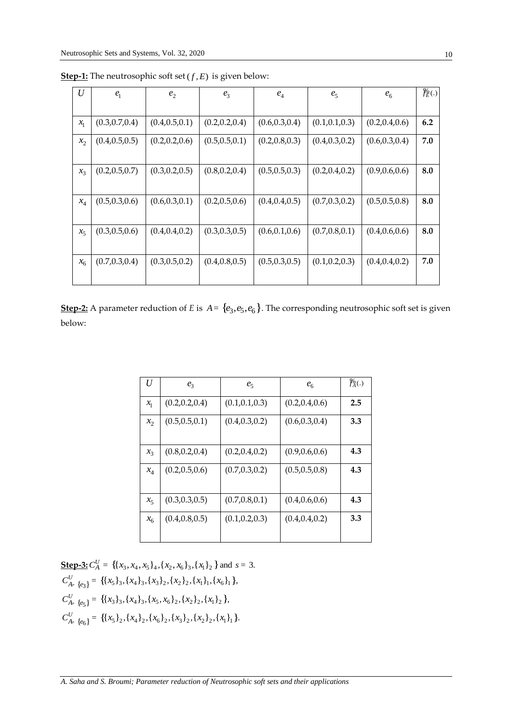| $\boldsymbol{U}$ | e <sub>1</sub>  | e <sub>2</sub>  | $e_3$           | $e_4$           | $e_5$           | $e_6$           | $\frac{\%}{E}$ (.) |
|------------------|-----------------|-----------------|-----------------|-----------------|-----------------|-----------------|--------------------|
| $x_1$            | (0.3, 0.7, 0.4) | (0.4, 0.5, 0.1) | (0.2, 0.2, 0.4) | (0.6, 0.3, 0.4) | (0.1, 0.1, 0.3) | (0.2, 0.4, 0.6) | 6.2                |
| $x_2$            | (0.4, 0.5, 0.5) | (0.2, 0.2, 0.6) | (0.5, 0.5, 0.1) | (0.2, 0.8, 0.3) | (0.4, 0.3, 0.2) | (0.6, 0.3, 0.4) | 7.0                |
| $x_3$            | (0.2, 0.5, 0.7) | (0.3, 0.2, 0.5) | (0.8, 0.2, 0.4) | (0.5, 0.5, 0.3) | (0.2, 0.4, 0.2) | (0.9, 0.6, 0.6) | 8.0                |
|                  |                 |                 |                 |                 |                 |                 |                    |
| $x_4$            | (0.5, 0.3, 0.6) | (0.6, 0.3, 0.1) | (0.2, 0.5, 0.6) | (0.4, 0.4, 0.5) | (0.7, 0.3, 0.2) | (0.5, 0.5, 0.8) | 8.0                |
| $x_5$            | (0.3, 0.5, 0.6) | (0.4, 0.4, 0.2) | (0.3, 0.3, 0.5) | (0.6, 0.1, 0.6) | (0.7, 0.8, 0.1) | (0.4, 0.6, 0.6) | 8.0                |
| $x_6$            | (0.7, 0.3, 0.4) | (0.3, 0.5, 0.2) | (0.4, 0.8, 0.5) | (0.5, 0.3, 0.5) | (0.1, 0.2, 0.3) | (0.4, 0.4, 0.2) | 7.0                |
|                  |                 |                 |                 |                 |                 |                 |                    |

 ${\bf Step\text{-}1:}$  The neutrosophic soft set  $(f, E)$  is given below:

**<u>Step-2:</u>** A parameter reduction of *E* is  $A = \{e_3, e_5, e_6\}$ . The corresponding neutrosophic soft set is given below:

| U       | $e_3$           | $e_5$           | e <sub>6</sub>  | $\int_A^b(.)$ |
|---------|-----------------|-----------------|-----------------|---------------|
| $x_{1}$ | (0.2, 0.2, 0.4) | (0.1, 0.1, 0.3) | (0.2, 0.4, 0.6) | 2.5           |
| $x_2$   | (0.5, 0.5, 0.1) | (0.4, 0.3, 0.2) | (0.6, 0.3, 0.4) | 3.3           |
| $x_3$   | (0.8, 0.2, 0.4) | (0.2, 0.4, 0.2) | (0.9, 0.6, 0.6) | 4.3           |
| $x_4$   | (0.2, 0.5, 0.6) | (0.7, 0.3, 0.2) | (0.5, 0.5, 0.8) | 4.3           |
| $x_{5}$ | (0.3, 0.3, 0.5) | (0.7, 0.8, 0.1) | (0.4, 0.6, 0.6) | 4.3           |
| $x_6$   | (0.4, 0.8, 0.5) | (0.1, 0.2, 0.3) | (0.4, 0.4, 0.2) | 3.3           |

**<u>Step-3:**  $C_A^U = \{ \{x_3, x_4, x_5\}_4, \{x_2, x_6\}_3, \{x_1\}_2 \}$  and  $s = 3$ .</u>  ${\bf 5} \cdot {\bf 5} \cdot {\bf 5} \cdot {\bf 5} \cdot {\bf 6} \cdot {\bf 7} \cdot {\bf 8} \cdot {\bf 8} \cdot {\bf 8} \cdot {\bf 8} \cdot {\bf 8} \cdot {\bf 8} \cdot {\bf 8} \cdot {\bf 8} \cdot {\bf 8} \cdot {\bf 8} \cdot {\bf 8} \cdot {\bf 8} \cdot {\bf 8} \cdot {\bf 8} \cdot {\bf 8} \cdot {\bf 8} \cdot {\bf 8} \cdot {\bf 8} \cdot {\bf 8} \cdot {\bf 8} \cdot {\bf 8} \cdot {\bf 8} \cdot {\bf 8} \cdot {\bf 8} \cdot {\bf 8} \cdot {\bf$  ${e_3}$  = {{ $x_5$  }<sub>3</sub>, { $x_4$  }<sub>3</sub>, { $x_3$  }<sub>2</sub>, { $x_2$  }<sub>2</sub>, { $x_1$  }<sub>1</sub>, { $x_6$ }<sub>1</sub><br> ${e_5}$ } = {{ $x_3$ }<sub>3</sub>, { $x_4$ }<sub>3</sub>, { $x_5$ ,  $x_6$ }<sub>2</sub>, { $x_2$ }<sub>2</sub>, { $x_1$ }<sub>2</sub>},  ${e_5}$  = {{ $x_3$  }<sub>3</sub>, { $x_4$  }<sub>3</sub>, { $x_5$ ,  $x_6$  }<sub>2</sub>, { $x_2$  }<sub>2</sub>, { $x_1$  }<sub>2</sub> },<br> ${e_6}$  = {{ $x_5$ }<sub>2</sub>, { $x_4$ }<sub>2</sub>, { $x_6$ }<sub>2</sub>, { $x_3$ }<sub>2</sub>, { $x_2$ }<sub>2</sub>, { $x_1$ }<sub>1</sub> }. **Step-3:**  $C_A^U = \{ \{x_3, x_4, x_5\}_4, \{x_2, x_6\}_3, \{x_1\}_2 \}$ <br>  $C_{A- \{e_3\}}^U = \{ \{x_5\}_3, \{x_4\}_3, \{x_3\}_2, \{x_2\}_2, \{x_1\}_1, \{x_4\}_2$  $C_{A-}^{U}$   $e_{3}$ } = {{ $x_{5}$  }<sub>3</sub>, { $x_{4}$  }<sub>3</sub>, { $x_{3}$  }<sub>2</sub>, { $x_{2}$  }<sub>2</sub>, { $x_{1}$  }<sub>1</sub>,<br>  $C_{A-}^{U}$   $e_{5}$ } = {{ $x_{3}$  }<sub>3</sub>, { $x_{4}$  }<sub>3</sub>, { $x_{5}$ ,  $x_{6}$  }<sub>2</sub>, { $x_{2}$  }<sub>2</sub>, { $x$  $U_{A-}$   $e_5$ } = {{ $x_3$  }<sub>3</sub>, { $x_4$  }<sub>3</sub>, { $x_5$ ,  $x_6$  }<sub>2</sub>, { $x_2$  }<sub>2</sub>, { $x_1$  }<sub>2</sub><br> $C_{A-}^U$   $e_6$ } = {{ $x_5$ }<sub>2</sub>, { $x_4$ }<sub>2</sub>, { $x_6$ }<sub>2</sub>, { $x_3$ }<sub>2</sub>, { $x_2$ }<sub>2</sub>, { $x_5$ }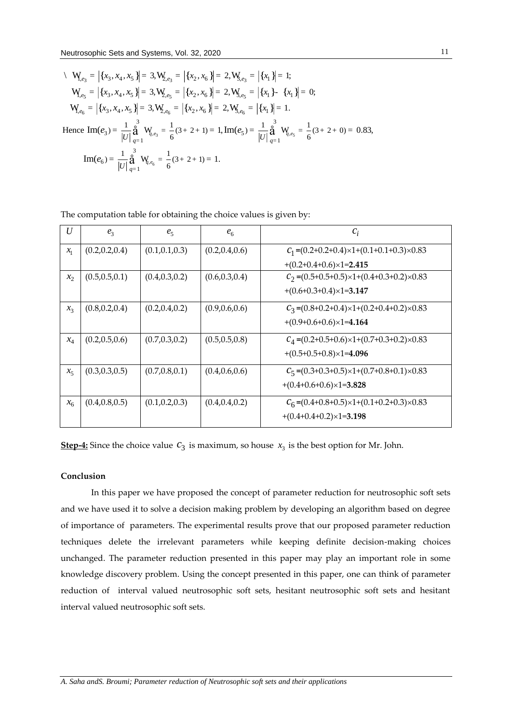$$
\langle \mathbf{W}_{e_3} = |\{x_3, x_4, x_5\}| = 3, \mathbf{W}_{e_3} = |\{x_2, x_6\}| = 2, \mathbf{W}_{e_3} = |\{x_1\}| = 1;
$$
  
\n
$$
\mathbf{W}_{e_5} = |\{x_3, x_4, x_5\}| = 3, \mathbf{W}_{e_5} = |\{x_2, x_6\}| = 2, \mathbf{W}_{e_5} = |\{x_1\} - \{x_1\}| = 0;
$$
  
\n
$$
\mathbf{W}_{e_6} = |\{x_3, x_4, x_5\}| = 3, \mathbf{W}_{e_6} = |\{x_2, x_6\}| = 2, \mathbf{W}_{e_6} = |\{x_1\}| = 1.
$$
  
\nHence 
$$
\text{Im}(e_3) = \frac{1}{|U|} \mathbf{a}^3 \mathbf{W}_{e_3} = \frac{1}{6}(3 + 2 + 1) = 1, \text{Im}(e_5) = \frac{1}{|U|} \mathbf{a}^3 \mathbf{W}_{e_5} = \frac{1}{6}(3 + 2 + 0) = 0.83,
$$
  
\n
$$
\text{Im}(e_6) = \frac{1}{|U|} \mathbf{a}^3 \mathbf{W}_{e_6} = \frac{1}{6}(3 + 2 + 1) = 1.
$$

 $\overline{U}$  $e<sub>3</sub>$  $c_i$  $e_5$  $e_{6}$  $(0.2, 0.2, 0.4)$  $C_1 = (0.2 + 0.2 + 0.4) \times 1 + (0.1 + 0.1 + 0.3) \times 0.83$  $(0.1, 0.1, 0.3)$  $(0.2, 0.4, 0.6)$  $\mathcal{X}_1$  $+(0.2+0.4+0.6)\times1=2.415$  $C_2 = (0.5 + 0.5 + 0.5) \times 1 + (0.4 + 0.3 + 0.2) \times 0.83$  $x_2$  $(0.5, 0.5, 0.1)$  $(0.4, 0.3, 0.2)$  $(0.6, 0.3, 0.4)$  $+(0.6+0.3+0.4)\times1=3.147$  $C_3 = (0.8 + 0.2 + 0.4) \times 1 + (0.2 + 0.4 + 0.2) \times 0.83$  $(0.8, 0.2, 0.4)$  $(0.2, 0.4, 0.2)$  $(0.9, 0.6, 0.6)$  $x_{3}$  $+(0.9+0.6+0.6)\times1=4.164$  $C_A = (0.2 + 0.5 + 0.6) \times 1 + (0.7 + 0.3 + 0.2) \times 0.83$  $(0.2, 0.5, 0.6)$  $(0.7, 0.3, 0.2)$  $(0.5, 0.5, 0.8)$  $x_4$  $+(0.5+0.5+0.8)\times1=4.096$  $C_5 = (0.3 + 0.3 + 0.5) \times 1 + (0.7 + 0.8 + 0.1) \times 0.83$  $x_{5}$  $(0.3, 0.3, 0.5)$  $(0.7, 0.8, 0.1)$  $(0.4, 0.6, 0.6)$  $+(0.4+0.6+0.6)\times1=3.828$  $C_6 = (0.4 + 0.8 + 0.5) \times 1 + (0.1 + 0.2 + 0.3) \times 0.83$  $(0.4, 0.8, 0.5)$  $(0.1, 0.2, 0.3)$  $(0.4, 0.4, 0.2)$  $\mathcal{X}_6$  $+(0.4+0.4+0.2)\times1=3.198$ 

The computation table for obtaining the choice values is given by:

**Step-4:** Since the choice value  $c_3$  is maximum, so house  $x_3$  is the best option for Mr. John.

# Conclusion

In this paper we have proposed the concept of parameter reduction for neutrosophic soft sets and we have used it to solve a decision making problem by developing an algorithm based on degree of importance of parameters. The experimental results prove that our proposed parameter reduction techniques delete the irrelevant parameters while keeping definite decision-making choices unchanged. The parameter reduction presented in this paper may play an important role in some knowledge discovery problem. Using the concept presented in this paper, one can think of parameter reduction of interval valued neutrosophic soft sets, hesitant neutrosophic soft sets and hesitant interval valued neutrosophic soft sets.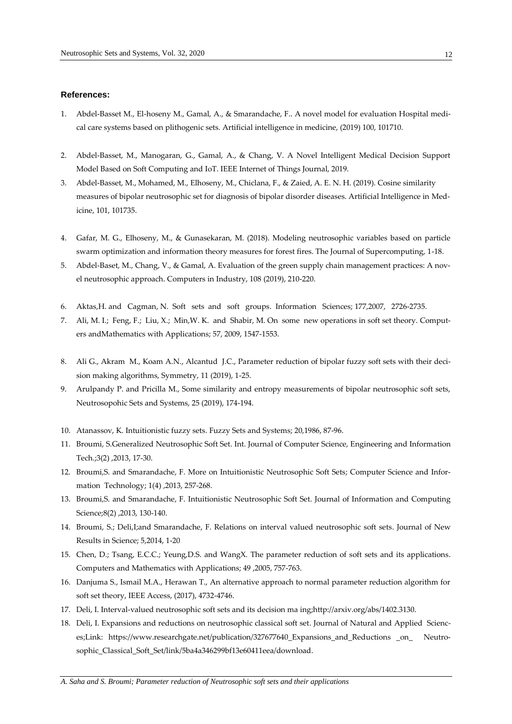# **References:**

- 1. Abdel-Basset M., El-hoseny M., Gamal, A., & Smarandache, F.. A novel model for evaluation Hospital medical care systems based on plithogenic sets. Artificial intelligence in medicine, (2019) 100, 101710.
- 2. Abdel-Basset, M., Manogaran, G., Gamal, A., & Chang, V. A Novel Intelligent Medical Decision Support Model Based on Soft Computing and IoT. IEEE Internet of Things Journal, 2019.
- 3. Abdel-Basset, M., Mohamed, M., Elhoseny, M., Chiclana, F., & Zaied, A. E. N. H. (2019). Cosine similarity measures of bipolar neutrosophic set for diagnosis of bipolar disorder diseases. Artificial Intelligence in Medicine, 101, 101735.
- 4. Gafar, M. G., Elhoseny, M., & Gunasekaran, M. (2018). Modeling neutrosophic variables based on particle swarm optimization and information theory measures for forest fires. The Journal of Supercomputing, 1-18.
- 5. Abdel-Baset, M., Chang, V., & Gamal, A. Evaluation of the green supply chain management practices: A novel neutrosophic approach. Computers in Industry, 108 (2019), 210-220.
- 6. Aktas,H. and Cagman, N. Soft sets and soft groups. Information Sciences; 177,2007, 2726-2735.
- 7. Ali, M. I.; Feng, F.; Liu, X.; Min,W. K. and Shabir, M. On some new operations in soft set theory. Computers andMathematics with Applications; 57, 2009, 1547-1553.
- 8. Ali G., Akram M., Koam A.N., Alcantud J.C., Parameter reduction of bipolar fuzzy soft sets with their decision making algorithms, Symmetry, 11 (2019), 1-25.
- 9. Arulpandy P. and Pricilla M., Some similarity and entropy measurements of bipolar neutrosophic soft sets, Neutrosopohic Sets and Systems, 25 (2019), 174-194.
- 10. Atanassov, K. Intuitionistic fuzzy sets. Fuzzy Sets and Systems; 20,1986, 87-96.
- 11. Broumi, S.Generalized Neutrosophic Soft Set. Int. Journal of Computer Science, Engineering and Information Tech.;3(2) ,2013, 17-30.
- 12. Broumi,S. and Smarandache, F. More on Intuitionistic Neutrosophic Soft Sets; Computer Science and Information Technology; 1(4) ,2013, 257-268.
- 13. Broumi,S. and Smarandache, F. Intuitionistic Neutrosophic Soft Set. Journal of Information and Computing Science;8(2) ,2013, 130-140.
- 14. Broumi, S.; Deli,I;and Smarandache, F. Relations on interval valued neutrosophic soft sets. Journal of New Results in Science; 5,2014, 1-20
- 15. Chen, D.; Tsang, E.C.C.; Yeung,D.S. and WangX. The parameter reduction of soft sets and its applications. Computers and Mathematics with Applications; 49 ,2005, 757-763.
- 16. Danjuma S., Ismail M.A., Herawan T., An alternative approach to normal parameter reduction algorithm for soft set theory, IEEE Access, (2017), 4732-4746.
- 17. Deli, I. Interval-valued neutrosophic soft sets and its decision ma ing;http://arxiv.org/abs/1402.3130.
- 18. Deli, I. Expansions and reductions on neutrosophic classical soft set. Journal of Natural and Applied Sciences;Link: https://www.researchgate.net/publication/327677640\_Expansions\_and\_Reductions \_on\_ Neutrosophic\_Classical\_Soft\_Set/link/5ba4a346299bf13e60411eea/download.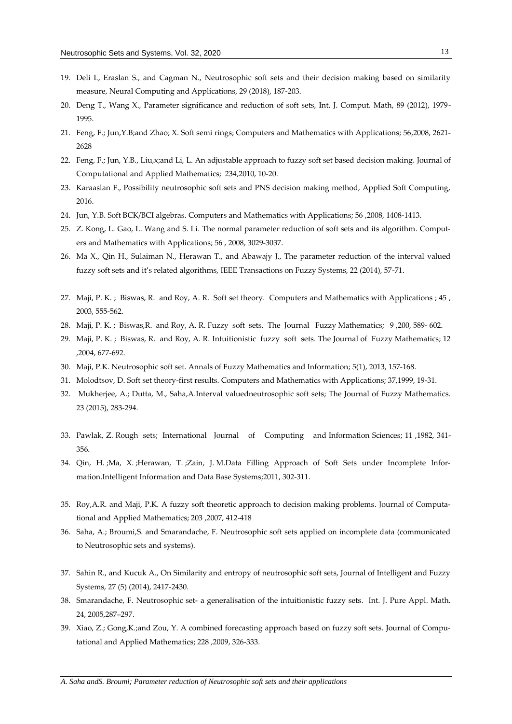- 19. Deli I., Eraslan S., and Cagman N., Neutrosophic soft sets and their decision making based on similarity measure, Neural Computing and Applications, 29 (2018), 187-203.
- 20. Deng T., Wang X., Parameter significance and reduction of soft sets, Int. J. Comput. Math, 89 (2012), 1979- 1995.
- 21. Feng, F.; Jun,Y.B;and Zhao; X. Soft semi rings; Computers and Mathematics with Applications; 56,2008, 2621- 2628
- 22. Feng, F.; Jun, Y.B., Liu,x;and Li, L. An adjustable approach to fuzzy soft set based decision making. Journal of Computational and Applied Mathematics; 234,2010, 10-20.
- 23. Karaaslan F., Possibility neutrosophic soft sets and PNS decision making method, Applied Soft Computing, 2016.
- 24. Jun, Y.B. Soft BCK/BCI algebras. Computers and Mathematics with Applications; 56 ,2008, 1408-1413.
- 25. Z. Kong, L. Gao, L. Wang and S. Li. The normal parameter reduction of soft sets and its algorithm. Computers and Mathematics with Applications; 56 , 2008, 3029-3037.
- 26. Ma X., Qin H., Sulaiman N., Herawan T., and Abawajy J., The parameter reduction of the interval valued fuzzy soft sets and it's related algorithms, IEEE Transactions on Fuzzy Systems, 22 (2014), 57-71.
- 27. Maji, P. K. ; Biswas, R. and Roy, A. R. Soft set theory. Computers and Mathematics with Applications ; 45 , 2003, 555-562.
- 28. Maji, P. K. ; Biswas,R. and Roy, A. R. Fuzzy soft sets. The Journal Fuzzy Mathematics; 9 ,200, 589- 602.
- 29. Maji, P. K. ; Biswas, R. and Roy, A. R. Intuitionistic fuzzy soft sets. The Journal of Fuzzy Mathematics; 12 ,2004, 677-692.
- 30. Maji, P.K. Neutrosophic soft set. Annals of Fuzzy Mathematics and Information; 5(1), 2013, 157-168.
- 31. Molodtsov, D. Soft set theory-first results. Computers and Mathematics with Applications; 37,1999, 19-31.
- 32. Mukherjee, A.; Dutta, M., Saha,A.Interval valuedneutrosophic soft sets; The Journal of Fuzzy Mathematics. 23 (2015), 283-294.
- 33. Pawlak, Z. Rough sets; International Journal of Computing and Information Sciences; 11 ,1982, 341- 356.
- 34. Qin, H. ;Ma, X. ;Herawan, T. ;Zain, J. M.Data Filling Approach of Soft Sets under Incomplete Information.Intelligent Information and Data Base Systems;2011, 302-311.
- 35. Roy,A.R. and Maji, P.K. A fuzzy soft theoretic approach to decision making problems. Journal of Computational and Applied Mathematics; 203 ,2007, 412-418
- 36. Saha, A.; Broumi,S. and Smarandache, F. Neutrosophic soft sets applied on incomplete data (communicated to Neutrosophic sets and systems).
- 37. Sahin R., and Kucuk A., On Similarity and entropy of neutrosophic soft sets, Journal of Intelligent and Fuzzy Systems, 27 (5) (2014), 2417-2430.
- 38. Smarandache, F. Neutrosophic set- a generalisation of the intuitionistic fuzzy sets. Int. J. Pure Appl. Math. 24, 2005,287–297.
- 39. Xiao, Z.; Gong,K.;and Zou, Y. A combined forecasting approach based on fuzzy soft sets. Journal of Computational and Applied Mathematics; 228 ,2009, 326-333.